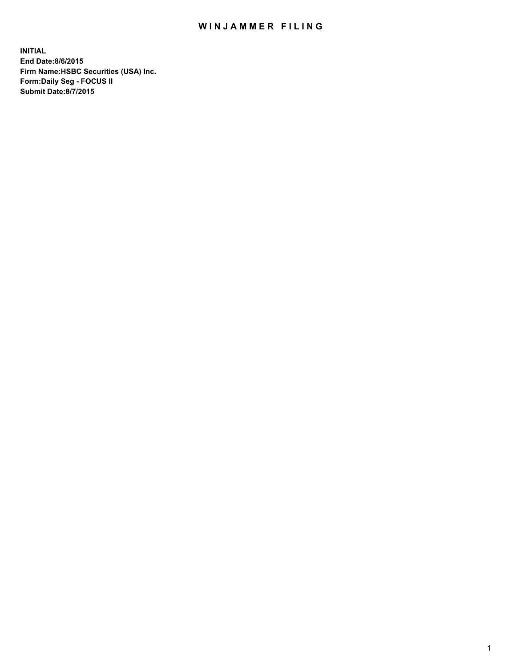## WIN JAMMER FILING

**INITIAL End Date:8/6/2015 Firm Name:HSBC Securities (USA) Inc. Form:Daily Seg - FOCUS II Submit Date:8/7/2015**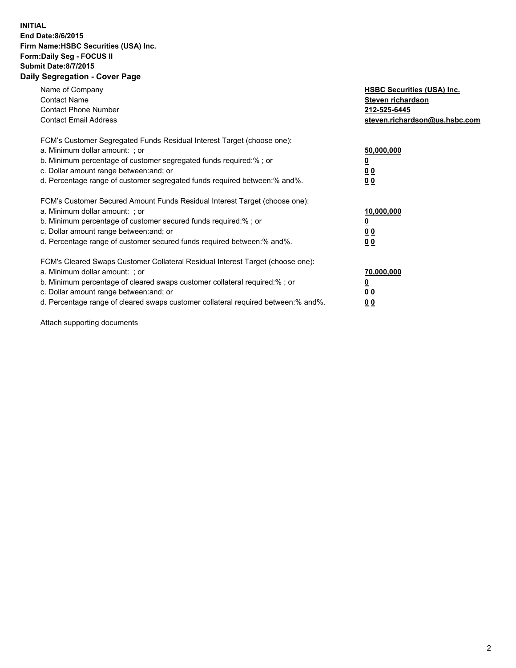## **INITIAL End Date:8/6/2015 Firm Name:HSBC Securities (USA) Inc. Form:Daily Seg - FOCUS II Submit Date:8/7/2015 Daily Segregation - Cover Page**

| Name of Company<br><b>Contact Name</b><br><b>Contact Phone Number</b><br><b>Contact Email Address</b>                                                                                                                                                                                                                          | <b>HSBC Securities (USA) Inc.</b><br>Steven richardson<br>212-525-6445<br>steven.richardson@us.hsbc.com |
|--------------------------------------------------------------------------------------------------------------------------------------------------------------------------------------------------------------------------------------------------------------------------------------------------------------------------------|---------------------------------------------------------------------------------------------------------|
| FCM's Customer Segregated Funds Residual Interest Target (choose one):<br>a. Minimum dollar amount: ; or<br>b. Minimum percentage of customer segregated funds required:%; or<br>c. Dollar amount range between: and; or<br>d. Percentage range of customer segregated funds required between:% and%.                          | 50,000,000<br>00<br>00                                                                                  |
| FCM's Customer Secured Amount Funds Residual Interest Target (choose one):<br>a. Minimum dollar amount: ; or<br>b. Minimum percentage of customer secured funds required:%; or<br>c. Dollar amount range between: and; or<br>d. Percentage range of customer secured funds required between:% and%.                            | 10,000,000<br>0 <sub>0</sub><br>00                                                                      |
| FCM's Cleared Swaps Customer Collateral Residual Interest Target (choose one):<br>a. Minimum dollar amount: ; or<br>b. Minimum percentage of cleared swaps customer collateral required:% ; or<br>c. Dollar amount range between: and; or<br>d. Percentage range of cleared swaps customer collateral required between:% and%. | 70,000,000<br><u>00</u><br><u>00</u>                                                                    |

Attach supporting documents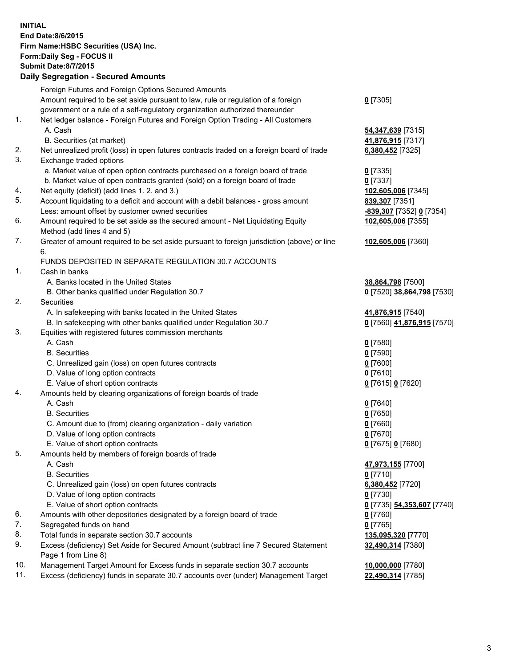**INITIAL End Date:8/6/2015 Firm Name:HSBC Securities (USA) Inc. Form:Daily Seg - FOCUS II Submit Date:8/7/2015 Daily Segregation - Secured Amounts** Foreign Futures and Foreign Options Secured Amounts Amount required to be set aside pursuant to law, rule or regulation of a foreign government or a rule of a self-regulatory organization authorized thereunder **0** [7305] 1. Net ledger balance - Foreign Futures and Foreign Option Trading - All Customers A. Cash **54,347,639** [7315] B. Securities (at market) **41,876,915** [7317] 2. Net unrealized profit (loss) in open futures contracts traded on a foreign board of trade **6,380,452** [7325] 3. Exchange traded options a. Market value of open option contracts purchased on a foreign board of trade **0** [7335] b. Market value of open contracts granted (sold) on a foreign board of trade **0** [7337] 4. Net equity (deficit) (add lines 1. 2. and 3.) **102,605,006** [7345] 5. Account liquidating to a deficit and account with a debit balances - gross amount **839,307** [7351] Less: amount offset by customer owned securities **-839,307** [7352] **0** [7354] 6. Amount required to be set aside as the secured amount - Net Liquidating Equity Method (add lines 4 and 5) **102,605,006** [7355] 7. Greater of amount required to be set aside pursuant to foreign jurisdiction (above) or line 6. **102,605,006** [7360] FUNDS DEPOSITED IN SEPARATE REGULATION 30.7 ACCOUNTS 1. Cash in banks A. Banks located in the United States **38,864,798** [7500] B. Other banks qualified under Regulation 30.7 **0** [7520] **38,864,798** [7530] 2. Securities A. In safekeeping with banks located in the United States **41,876,915** [7540] B. In safekeeping with other banks qualified under Regulation 30.7 **0** [7560] **41,876,915** [7570] 3. Equities with registered futures commission merchants A. Cash **0** [7580] B. Securities **0** [7590] C. Unrealized gain (loss) on open futures contracts **0** [7600] D. Value of long option contracts **0** [7610] E. Value of short option contracts **0** [7615] **0** [7620] 4. Amounts held by clearing organizations of foreign boards of trade A. Cash **0** [7640] B. Securities **0** [7650] C. Amount due to (from) clearing organization - daily variation **0** [7660] D. Value of long option contracts **0** [7670] E. Value of short option contracts **0** [7675] **0** [7680] 5. Amounts held by members of foreign boards of trade A. Cash **47,973,155** [7700] B. Securities **0** [7710] C. Unrealized gain (loss) on open futures contracts **6,380,452** [7720] D. Value of long option contracts **0** [7730] E. Value of short option contracts **0** [7735] **54,353,607** [7740] 6. Amounts with other depositories designated by a foreign board of trade **0** [7760] 7. Segregated funds on hand **0** [7765] 8. Total funds in separate section 30.7 accounts **135,095,320** [7770] 9. Excess (deficiency) Set Aside for Secured Amount (subtract line 7 Secured Statement Page 1 from Line 8) **32,490,314** [7380] 10. Management Target Amount for Excess funds in separate section 30.7 accounts **10,000,000** [7780] 11. Excess (deficiency) funds in separate 30.7 accounts over (under) Management Target **22,490,314** [7785]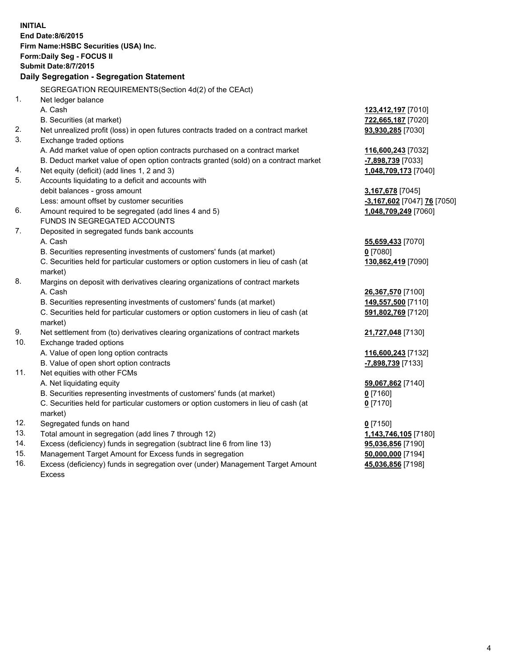| <b>INITIAL</b> | End Date:8/6/2015<br>Firm Name: HSBC Securities (USA) Inc.<br>Form: Daily Seg - FOCUS II       |                             |  |  |  |
|----------------|------------------------------------------------------------------------------------------------|-----------------------------|--|--|--|
|                | <b>Submit Date:8/7/2015</b>                                                                    |                             |  |  |  |
|                | Daily Segregation - Segregation Statement                                                      |                             |  |  |  |
|                | SEGREGATION REQUIREMENTS(Section 4d(2) of the CEAct)                                           |                             |  |  |  |
| 1.             | Net ledger balance                                                                             |                             |  |  |  |
|                | A. Cash                                                                                        | 123,412,197 [7010]          |  |  |  |
|                | B. Securities (at market)                                                                      | 722,665,187 [7020]          |  |  |  |
| 2.             | Net unrealized profit (loss) in open futures contracts traded on a contract market             | 93,930,285 [7030]           |  |  |  |
| 3.             | Exchange traded options                                                                        |                             |  |  |  |
|                | A. Add market value of open option contracts purchased on a contract market                    | 116,600,243 [7032]          |  |  |  |
|                | B. Deduct market value of open option contracts granted (sold) on a contract market            | -7,898,739 [7033]           |  |  |  |
| 4.             | Net equity (deficit) (add lines 1, 2 and 3)                                                    | 1,048,709,173 [7040]        |  |  |  |
| 5.             | Accounts liquidating to a deficit and accounts with                                            |                             |  |  |  |
|                | debit balances - gross amount                                                                  | 3,167,678 [7045]            |  |  |  |
|                | Less: amount offset by customer securities                                                     | -3,167,602 [7047] 76 [7050] |  |  |  |
| 6.             | Amount required to be segregated (add lines 4 and 5)                                           | 1,048,709,249 [7060]        |  |  |  |
|                | FUNDS IN SEGREGATED ACCOUNTS                                                                   |                             |  |  |  |
| 7.             | Deposited in segregated funds bank accounts                                                    |                             |  |  |  |
|                | A. Cash                                                                                        | 55,659,433 [7070]           |  |  |  |
|                | B. Securities representing investments of customers' funds (at market)                         | $0$ [7080]                  |  |  |  |
|                | C. Securities held for particular customers or option customers in lieu of cash (at            | 130,862,419 [7090]          |  |  |  |
|                | market)                                                                                        |                             |  |  |  |
| 8.             | Margins on deposit with derivatives clearing organizations of contract markets                 |                             |  |  |  |
|                | A. Cash                                                                                        | 26,367,570 [7100]           |  |  |  |
|                | B. Securities representing investments of customers' funds (at market)                         | 149,557,500 [7110]          |  |  |  |
|                | C. Securities held for particular customers or option customers in lieu of cash (at<br>market) | 591,802,769 [7120]          |  |  |  |
| 9.             | Net settlement from (to) derivatives clearing organizations of contract markets                | 21,727,048 [7130]           |  |  |  |
| 10.            | Exchange traded options                                                                        |                             |  |  |  |
|                | A. Value of open long option contracts                                                         | 116,600,243 [7132]          |  |  |  |
|                | B. Value of open short option contracts                                                        | -7,898,739 [7133]           |  |  |  |
| 11.            | Net equities with other FCMs                                                                   |                             |  |  |  |
|                | A. Net liquidating equity                                                                      | 59,067,862 [7140]           |  |  |  |
|                | B. Securities representing investments of customers' funds (at market)                         | $0$ [7160]                  |  |  |  |
|                | C. Securities held for particular customers or option customers in lieu of cash (at<br>market) | $0$ [7170]                  |  |  |  |
| 12.            | Segregated funds on hand                                                                       | $0$ [7150]                  |  |  |  |
| 13.            | Total amount in segregation (add lines 7 through 12)                                           | 1,143,746,105 [7180]        |  |  |  |
| 14.            | Excess (deficiency) funds in segregation (subtract line 6 from line 13)                        | 95,036,856 [7190]           |  |  |  |
| 15.            | Management Target Amount for Excess funds in segregation                                       | 50,000,000 [7194]           |  |  |  |
| 16.            | Excess (deficiency) funds in segregation over (under) Management Target Amount                 | 45,036,856 [7198]           |  |  |  |

16. Excess (deficiency) funds in segregation over (under) Management Target Amount Excess